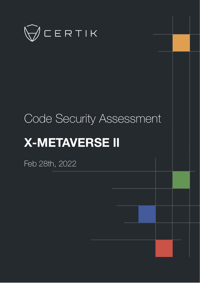

# Code Security Assessment **X-METAVERSE Ⅱ**

Feb 28th, 2022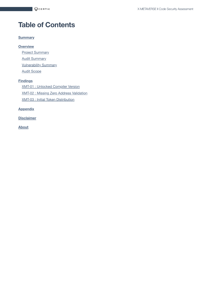# **Table of Contents**

#### **[Summary](#page-2-0)**

#### **[Overview](#page-3-0)**

**Project [Summary](#page-3-1) Audit [Summary](#page-3-2) [Vulnerability Summary](#page-3-3)** Audit [Scope](#page-4-0)

#### **[Findings](#page-5-0)**

XMT-01 : [Unlocked](#page-6-0) Compiler Version XMT-02 : Missing Zero [Address Validation](#page-7-0) XMT-03 : Initial Token [Distribution](#page-8-0)

#### **[Appendix](#page-10-0)**

**[Disclaimer](#page-11-0)**

**[About](#page-14-0)**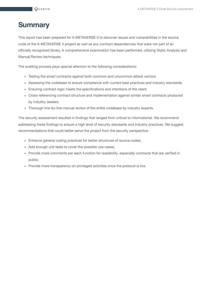# <span id="page-2-0"></span>**Summary**

This report has been prepared for X-METAVERSE II to discover issues and vulnerabilities in the source code of the X-METAVERSE Ⅱ project as well as any contract dependencies that were not part of an officially recognized library. A comprehensive examination has been performed, utilizing Static Analysis and Manual Review techniques.

The auditing process pays special attention to the following considerations:

- Testing the smart contracts against both common and uncommon attack vectors.
- Assessing the codebase to ensure compliance with current best practices and industry standards.
- Ensuring contract logic meets the specifications and intentions of the client.
- Cross referencing contract structure and implementation against similar smart contracts produced by industry leaders.
- Thorough line-by-line manual review of the entire codebase by industry experts.

The security assessment resulted in findings that ranged from critical to informational. We recommend addressing these findings to ensure a high level of security standards and industry practices. We suggest recommendations that could better serve the project from the security perspective:

- Enhance general coding practices for better structures of source codes;
- Add enough unit tests to cover the possible use cases;
- Provide more comments per each function for readability, especially contracts that are verified in public;
- Provide more transparency on privileged activities once the protocol is live.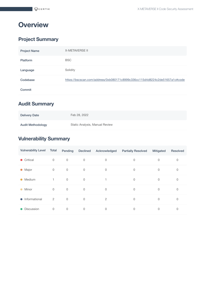# <span id="page-3-0"></span>**Overview**

## <span id="page-3-1"></span>**Project Summary**

| <b>Project Name</b> | <b>X-METAVERSE II</b>                                                       |
|---------------------|-----------------------------------------------------------------------------|
| Platform            | <b>BSC</b>                                                                  |
| Language            | Solidity                                                                    |
| Codebase            | https://bscscan.com/address/0xb080171c8999c336cc115d4d8224c2de51657a1c#code |
| Commit              |                                                                             |

## <span id="page-3-2"></span>**Audit Summary**

| <b>Delivery Date</b>     | Feb 28, 2022                   |
|--------------------------|--------------------------------|
| <b>Audit Methodology</b> | Static Analysis, Manual Review |

## <span id="page-3-3"></span>**Vulnerability Summary**

| <b>Vulnerability Level</b>     | Total          | Pending     | <b>Declined</b> | Acknowledged | <b>Partially Resolved</b> | Mitigated   | Resolved    |
|--------------------------------|----------------|-------------|-----------------|--------------|---------------------------|-------------|-------------|
| • Critical                     | $\mathbf 0$    | $\mathbf 0$ | $\mathbf 0$     | 0            | 0                         | 0           | 0           |
| Major<br>$\bullet$             | $\mathbf 0$    | $\mathbf 0$ | $\mathbf 0$     | 0            | 0                         | 0           | 0           |
| Medium<br>$\bullet$            | $\mathbf{1}$   | $\mathbf 0$ | $\mathbf 0$     | 1.           | $\mathbf 0$               | 0           | $\mathbf 0$ |
| Minor<br>$\bullet$             | $\mathbf 0$    | $\mathbf 0$ | $\mathbf 0$     | $\mathbf 0$  | 0                         | $\mathbf 0$ | 0           |
| Informational<br>$\bullet$     | $\overline{2}$ | $\mathbf 0$ | $\mathbf 0$     | 2            | 0                         | 0           | $\mathbf 0$ |
| <b>Discussion</b><br>$\bullet$ | $\mathbf 0$    | $\mathbf 0$ | $\mathbf 0$     | $\mathbf 0$  | 0                         | 0           | 0           |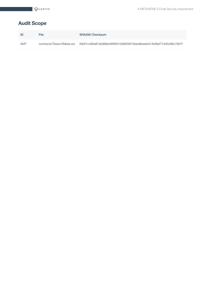## <span id="page-4-0"></span>**Audit Scope**

| ID         | File                      | <b>SHA256 Checksum</b>                                           |
|------------|---------------------------|------------------------------------------------------------------|
| <b>XMT</b> | contracts/Token/XMeta.sol | 09df1cc80e87eb969e48f99310d6939f10bbd6eee5d14fd9af77d40c89c7657f |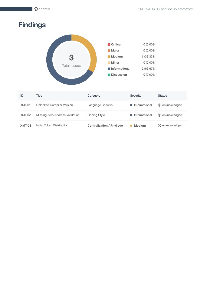# <span id="page-5-0"></span>**Findings**



| ID            | Title                           | Category                          | <b>Severity</b> | <b>Status</b>    |
|---------------|---------------------------------|-----------------------------------|-----------------|------------------|
| XMT-01        | Unlocked Compiler Version       | Language Specific                 | • Informational | (i) Acknowledged |
| XMT-02        | Missing Zero Address Validation | Coding Style                      | • Informational | (i) Acknowledged |
| <b>XMT-03</b> | Initial Token Distribution      | <b>Centralization / Privilege</b> | <b>Medium</b>   | (i) Acknowledged |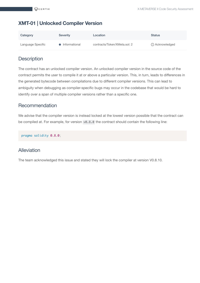## <span id="page-6-0"></span>**XMT-01 | Unlocked Compiler Version**

| Category          | <b>Severity</b> | Location                     | <b>Status</b>    |
|-------------------|-----------------|------------------------------|------------------|
| Language Specific | • Informational | contracts/Token/XMeta.sol: 2 | (i) Acknowledged |

#### **Description**

The contract has an unlocked compiler version. An unlocked compiler version in the source code of the contract permits the user to compile it at or above a particular version. This, in turn, leads to differences in the generated bytecode between compilations due to different compiler versions. This can lead to ambiguity when debugging as compiler-specific bugs may occur in the codebase that would be hard to identify over a span of multiple compiler versions rather than a specific one.

#### Recommendation

We advise that the compiler version is instead locked at the lowest version possible that the contract can be compiled at. For example, for version v0.8.0 the contract should contain the following line:

pragma solidity 0.8.0;

#### Alleviation

The team acknowledged this issue and stated they will lock the compiler at version V0.8.10.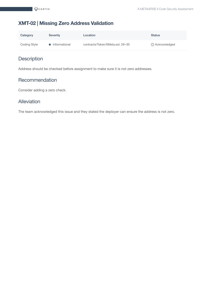#### <span id="page-7-0"></span>**XMT-02 | Missing Zero Address Validation**

| Category     | <b>Severity</b> | Location                         | <b>Status</b>    |
|--------------|-----------------|----------------------------------|------------------|
| Coding Style | • Informational | contracts/Token/XMeta.sol: 29~30 | (i) Acknowledged |

## **Description**

Address should be checked before assignment to make sure it is not zero addresses.

#### **Recommendation**

Consider adding a zero check.

#### Alleviation

The team acknowledged this issue and they stated the deployer can ensure the address is not zero.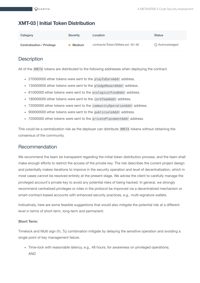#### <span id="page-8-0"></span>**XMT-03 | Initial Token Distribution**

| Category                          | <b>Severity</b> | Location                         | <b>Status</b>    |
|-----------------------------------|-----------------|----------------------------------|------------------|
| <b>Centralization / Privilege</b> | <b>Medium</b>   | contracts/Token/XMeta.sol: 40~46 | (i) Acknowledged |

#### **Description**

All of the XMETA tokens are distributed to the following addresses when deploying the contract.

- 270000000 ether tokens were sent to the playToEarnAddr address.
- 135000000 ether tokens were sent to the pledgeRewardAddr address.
- 81000000 ether tokens were sent to the ecologicalFundAddr address.
- 180000000 ether tokens were sent to the coreTeamAddr address.
- 72000000 ether tokens were sent to the communityOperationAddr address.
- 900000000 ether tokens were sent to the publicsaleAddr address.
- 72000000 ether tokens were sent to the privatePlacementAddr address.

This could be a centralization risk as the deployer can distribute XMETA tokens without obtaining the consensus of the community.

#### Recommendation

We recommend the team be transparent regarding the initial token distribution process, and the team shall make enough efforts to restrict the access of the private key. The risk describes the current project design and potentially makes iterations to improve in the security operation and level of decentralization, which in most cases cannot be resolved entirely at the present stage. We advise the client to carefully manage the privileged account's private key to avoid any potential risks of being hacked. In general, we strongly recommend centralized privileges or roles in the protocol be improved via a decentralized mechanism or smart-contract-based accounts with enhanced security practices, e.g., multi-signature wallets.

Indicatively, here are some feasible suggestions that would also mitigate the potential risk at a different level in terms of short-term, long-term and permanent:

#### **Short Term:**

Timelock and Multi sign (⅔, ⅗) combination *mitigate* by delaying the sensitive operation and avoiding a single point of key management failure.

• Time-lock with reasonable latency, e.g., 48 hours, for awareness on privileged operations; AND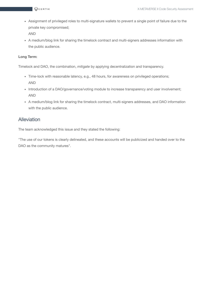- Assignment of privileged roles to multi-signature wallets to prevent a single point of failure due to the private key compromised; AND
- A medium/blog link for sharing the timelock contract and multi-signers addresses information with the public audience.

#### **Long Term:**

Timelock and DAO, the combination, *mitigate* by applying decentralization and transparency.

- Time-lock with reasonable latency, e.g., 48 hours, for awareness on privileged operations; AND
- Introduction of a DAO/governance/voting module to increase transparency and user involvement; AND
- A medium/blog link for sharing the timelock contract, multi-signers addresses, and DAO information with the public audience.

#### Alleviation

The team acknowledged this issue and they stated the following:

"The use of our tokens is clearly delineated, and these accounts will be publicized and handed over to the DAO as the community matures".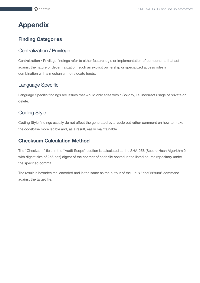# <span id="page-10-0"></span>**Appendix**

#### **Finding Categories**

#### Centralization / Privilege

Centralization / Privilege findings refer to either feature logic or implementation of components that act against the nature of decentralization, such as explicit ownership or specialized access roles in combination with a mechanism to relocate funds.

#### Language Specific

Language Specific findings are issues that would only arise within Solidity, i.e. incorrect usage of private or delete.

#### Coding Style

Coding Style findings usually do not affect the generated byte-code but rather comment on how to make the codebase more legible and, as a result, easily maintainable.

#### **Checksum Calculation Method**

The "Checksum" field in the "Audit Scope" section is calculated as the SHA-256 (Secure Hash Algorithm 2 with digest size of 256 bits) digest of the content of each file hosted in the listed source repository under the specified commit.

The result is hexadecimal encoded and is the same as the output of the Linux "sha256sum" command against the target file.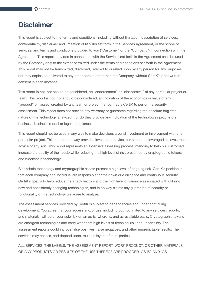# <span id="page-11-0"></span>**Disclaimer**

This report is subject to the terms and conditions (including without limitation, description of services, confidentiality, disclaimer and limitation of liability) set forth in the Services Agreement, or the scope of services, and terms and conditions provided to you ("Customer" or the "Company") in connection with the Agreement. This report provided in connection with the Services set forth in the Agreement shall be used by the Company only to the extent permitted under the terms and conditions set forth in the Agreement. This report may not be transmitted, disclosed, referred to or relied upon by any person for any purposes, nor may copies be delivered to any other person other than the Company, without CertiK's prior written consent in each instance.

This report is not, nor should be considered, an "endorsement" or "disapproval" of any particular project or team. This report is not, nor should be considered, an indication of the economics or value of any "product" or "asset" created by any team or project that contracts CertiK to perform a security assessment. This report does not provide any warranty or guarantee regarding the absolute bug-free nature of the technology analyzed, nor do they provide any indication of the technologies proprietors, business, business model or legal compliance.

This report should not be used in any way to make decisions around investment or involvement with any particular project. This report in no way provides investment advice, nor should be leveraged as investment advice of any sort. This report represents an extensive assessing process intending to help our customers increase the quality of their code while reducing the high level of risk presented by cryptographic tokens and blockchain technology.

Blockchain technology and cryptographic assets present a high level of ongoing risk. CertiK's position is that each company and individual are responsible for their own due diligence and continuous security. CertiK's goal is to help reduce the attack vectors and the high level of variance associated with utilizing new and consistently changing technologies, and in no way claims any guarantee of security or functionality of the technology we agree to analyze.

The assessment services provided by CertiK is subject to dependencies and under continuing development. You agree that your access and/or use, including but not limited to any services, reports, and materials, will be at your sole risk on an as-is, where-is, and as-available basis. Cryptographic tokens are emergent technologies and carry with them high levels of technical risk and uncertainty. The assessment reports could include false positives, false negatives, and other unpredictable results. The services may access, and depend upon, multiple layers of third-parties.

ALL SERVICES, THE LABELS, THE ASSESSMENT REPORT, WORK PRODUCT, OR OTHER MATERIALS, OR ANY PRODUCTS OR RESULTS OF THE USE THEREOF ARE PROVIDED "AS IS" AND "AS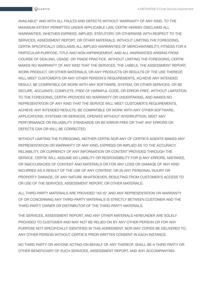AVAILABLE" AND WITH ALL FAULTS AND DEFECTS WITHOUT WARRANTY OF ANY KIND. TO THE MAXIMUM EXTENT PERMITTED UNDER APPLICABLE LAW, CERTIK HEREBY DISCLAIMS ALL WARRANTIES, WHETHER EXPRESS, IMPLIED, STATUTORY, OR OTHERWISE WITH RESPECT TO THE SERVICES, ASSESSMENT REPORT, OR OTHER MATERIALS. WITHOUT LIMITING THE FOREGOING, CERTIK SPECIFICALLY DISCLAIMS ALL IMPLIED WARRANTIES OF MERCHANTABILITY, FITNESS FOR A PARTICULAR PURPOSE, TITLE AND NON-INFRINGEMENT, AND ALL WARRANTIES ARISING FROM COURSE OF DEALING, USAGE, OR TRADE PRACTICE. WITHOUT LIMITING THE FOREGOING, CERTIK MAKES NO WARRANTY OF ANY KIND THAT THE SERVICES, THE LABELS, THE ASSESSMENT REPORT, WORK PRODUCT, OR OTHER MATERIALS, OR ANY PRODUCTS OR RESULTS OF THE USE THEREOF, WILL MEET CUSTOMER'S OR ANY OTHER PERSON'S REQUIREMENTS, ACHIEVE ANY INTENDED RESULT, BE COMPATIBLE OR WORK WITH ANY SOFTWARE, SYSTEM, OR OTHER SERVICES, OR BE SECURE, ACCURATE, COMPLETE, FREE OF HARMFUL CODE, OR ERROR-FREE. WITHOUT LIMITATION TO THE FOREGOING, CERTIK PROVIDES NO WARRANTY OR UNDERTAKING, AND MAKES NO REPRESENTATION OF ANY KIND THAT THE SERVICE WILL MEET CUSTOMER'S REQUIREMENTS, ACHIEVE ANY INTENDED RESULTS, BE COMPATIBLE OR WORK WITH ANY OTHER SOFTWARE, APPLICATIONS, SYSTEMS OR SERVICES, OPERATE WITHOUT INTERRUPTION, MEET ANY PERFORMANCE OR RELIABILITY STANDARDS OR BE ERROR FREE OR THAT ANY ERRORS OR DEFECTS CAN OR WILL BE CORRECTED.

WITHOUT LIMITING THE FOREGOING, NEITHER CERTIK NOR ANY OF CERTIK'S AGENTS MAKES ANY REPRESENTATION OR WARRANTY OF ANY KIND, EXPRESS OR IMPLIED AS TO THE ACCURACY, RELIABILITY, OR CURRENCY OF ANY INFORMATION OR CONTENT PROVIDED THROUGH THE SERVICE. CERTIK WILL ASSUME NO LIABILITY OR RESPONSIBILITY FOR (I) ANY ERRORS, MISTAKES, OR INACCURACIES OF CONTENT AND MATERIALS OR FOR ANY LOSS OR DAMAGE OF ANY KIND INCURRED AS A RESULT OF THE USE OF ANY CONTENT, OR (II) ANY PERSONAL INJURY OR PROPERTY DAMAGE, OF ANY NATURE WHATSOEVER, RESULTING FROM CUSTOMER'S ACCESS TO OR USE OF THE SERVICES, ASSESSMENT REPORT, OR OTHER MATERIALS.

ALL THIRD-PARTY MATERIALS ARE PROVIDED "AS IS" AND ANY REPRESENTATION OR WARRANTY OF OR CONCERNING ANY THIRD-PARTY MATERIALS IS STRICTLY BETWEEN CUSTOMER AND THE THIRD-PARTY OWNER OR DISTRIBUTOR OF THE THIRD-PARTY MATERIALS.

THE SERVICES, ASSESSMENT REPORT, AND ANY OTHER MATERIALS HEREUNDER ARE SOLELY PROVIDED TO CUSTOMER AND MAY NOT BE RELIED ON BY ANY OTHER PERSON OR FOR ANY PURPOSE NOT SPECIFICALLY IDENTIFIED IN THIS AGREEMENT, NOR MAY COPIES BE DELIVERED TO, ANY OTHER PERSON WITHOUT CERTIK'S PRIOR WRITTEN CONSENT IN EACH INSTANCE.

NO THIRD PARTY OR ANYONE ACTING ON BEHALF OF ANY THEREOF, SHALL BE A THIRD PARTY OR OTHER BENEFICIARY OF SUCH SERVICES, ASSESSMENT REPORT, AND ANY ACCOMPANYING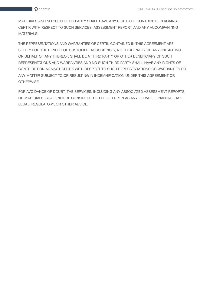MATERIALS AND NO SUCH THIRD PARTY SHALL HAVE ANY RIGHTS OF CONTRIBUTION AGAINST CERTIK WITH RESPECT TO SUCH SERVICES, ASSESSMENT REPORT, AND ANY ACCOMPANYING MATERIALS.

THE REPRESENTATIONS AND WARRANTIES OF CERTIK CONTAINED IN THIS AGREEMENT ARE SOLELY FOR THE BENEFIT OF CUSTOMER. ACCORDINGLY, NO THIRD PARTY OR ANYONE ACTING ON BEHALF OF ANY THEREOF, SHALL BE A THIRD PARTY OR OTHER BENEFICIARY OF SUCH REPRESENTATIONS AND WARRANTIES AND NO SUCH THIRD PARTY SHALL HAVE ANY RIGHTS OF CONTRIBUTION AGAINST CERTIK WITH RESPECT TO SUCH REPRESENTATIONS OR WARRANTIES OR ANY MATTER SUBJECT TO OR RESULTING IN INDEMNIFICATION UNDER THIS AGREEMENT OR OTHERWISE.

FOR AVOIDANCE OF DOUBT, THE SERVICES, INCLUDING ANY ASSOCIATED ASSESSMENT REPORTS OR MATERIALS, SHALL NOT BE CONSIDERED OR RELIED UPON AS ANY FORM OF FINANCIAL, TAX, LEGAL, REGULATORY, OR OTHER ADVICE.